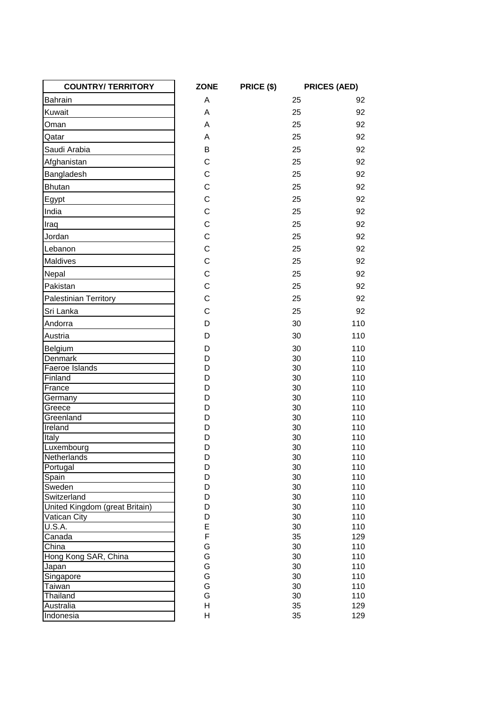| <b>COUNTRY/TERRITORY</b>       | <b>ZONE</b>  | PRICE (\$) | <b>PRICES (AED)</b> |
|--------------------------------|--------------|------------|---------------------|
| <b>Bahrain</b>                 | A            | 25         | 92                  |
| Kuwait                         | A            | 25         | 92                  |
| Oman                           | A            | 25         | 92                  |
| Qatar                          | A            | 25         | 92                  |
| Saudi Arabia                   | B            | 25         | 92                  |
| Afghanistan                    | $\mathsf{C}$ | 25         | 92                  |
|                                | $\mathsf{C}$ |            |                     |
| Bangladesh                     |              | 25         | 92                  |
| <b>Bhutan</b>                  | $\mathsf{C}$ | 25         | 92                  |
| Egypt                          | $\mathbf C$  | 25         | 92                  |
| India                          | $\mathbf C$  | 25         | 92                  |
| Iraq                           | $\mathsf{C}$ | 25         | 92                  |
| Jordan                         | $\mathsf{C}$ | 25         | 92                  |
| Lebanon                        | $\mathsf{C}$ | 25         | 92                  |
| Maldives                       | $\mathbf C$  | 25         | 92                  |
| Nepal                          | $\mathsf{C}$ | 25         | 92                  |
| Pakistan                       | $\mathsf{C}$ | 25         | 92                  |
|                                |              |            |                     |
| <b>Palestinian Territory</b>   | $\mathsf{C}$ | 25         | 92                  |
| Sri Lanka                      | $\mathbf C$  | 25         | 92                  |
| Andorra                        | D            | 30         | 110                 |
| Austria                        | D            | 30         | 110                 |
| Belgium                        | D            | 30         | 110                 |
| Denmark                        | D            | 30         | 110                 |
| Faeroe Islands                 | D            | 30         | 110                 |
| Finland                        | D            | 30         | 110                 |
| France                         | D            | 30         | 110                 |
| Germany                        | D<br>D       | 30<br>30   | 110<br>110          |
| Greece<br>Greenland            | D            | 30         | 110                 |
| Ireland                        | D            | 30         | 110                 |
| Italy                          | D            | 30         | 110                 |
| Luxembourg                     | D            | 30         | 110                 |
| Netherlands                    | D            | 30         | 110                 |
| Portugal                       | D            | 30         | 110                 |
| Spain                          | D            | 30         | 110                 |
| Sweden                         | D            | 30         | 110                 |
| Switzerland                    | D            | 30         | 110                 |
| United Kingdom (great Britain) | D            | 30         | 110                 |
| Vatican City                   | D            | 30         | 110                 |
| <b>U.S.A.</b>                  | E            | 30         | 110                 |
| Canada                         | $\mathsf F$  | 35         | 129                 |
| China                          | G            | 30         | 110                 |
| Hong Kong SAR, China           | G            | 30         | 110                 |
| Japan                          | G            | 30         | 110                 |
| Singapore                      | G            | 30         | 110                 |
| Taiwan                         | G            | 30         | 110                 |
| Thailand                       | G            | 30         | 110                 |
| Australia                      | Н            | 35         | 129                 |
| Indonesia                      | Н            | 35         | 129                 |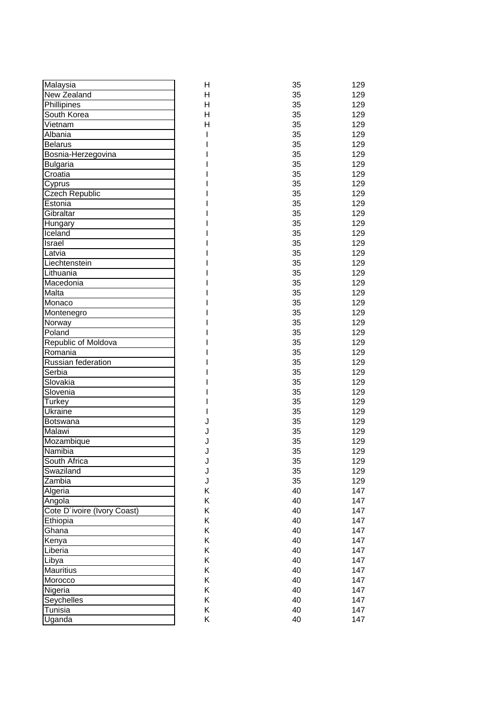| Malaysia                      | н | 35       | 129 |
|-------------------------------|---|----------|-----|
| <b>New Zealand</b>            | Η | 35       | 129 |
| Phillipines                   | Η | 35       | 129 |
| South Korea                   | H | 35       | 129 |
| Vietnam                       | Η | 35       | 129 |
| Albania                       |   | 35       | 129 |
| <b>Belarus</b>                |   | 35       | 129 |
| Bosnia-Herzegovina            |   | 35       | 129 |
| <b>Bulgaria</b>               |   | 35       | 129 |
| Croatia                       |   | 35       | 129 |
| Cyprus                        |   | 35       | 129 |
| Czech Republic                |   | 35       | 129 |
| Estonia                       |   | 35       | 129 |
| Gibraltar                     |   | 35       | 129 |
| Hungary                       |   | 35       | 129 |
| Iceland                       |   | 35       | 129 |
| <b>Israel</b>                 |   | 35       | 129 |
| Latvia                        |   | 35       | 129 |
| Liechtenstein                 |   | 35       | 129 |
| Lithuania                     |   | 35       | 129 |
| Macedonia                     |   | 35       | 129 |
| Malta                         |   | 35       | 129 |
| Monaco                        |   | 35       | 129 |
|                               |   | 35       | 129 |
| Montenegro                    |   | 35       | 129 |
| Norway                        |   | 35       | 129 |
| Poland                        |   | 35       | 129 |
| Republic of Moldova           |   |          |     |
| Romania<br>Russian federation |   | 35<br>35 | 129 |
|                               |   | 35       | 129 |
| Serbia                        |   |          | 129 |
| Slovakia                      |   | 35       | 129 |
| Slovenia                      |   | 35       | 129 |
| Turkey                        |   | 35       | 129 |
| Ukraine                       |   | 35<br>35 | 129 |
| Botswana                      |   |          | 129 |
| Malawi                        | J | 35       | 129 |
| Mozambique                    |   | 35       | 129 |
| Namibia                       | J | 35       | 129 |
| South Africa                  | J | 35       | 129 |
| Swaziland                     | J | 35       | 129 |
| Zambia                        | J | 35       | 129 |
| Algeria                       | Κ | 40       | 147 |
| Angola                        | Κ | 40       | 147 |
| Cote D'ivoire (Ivory Coast)   | Κ | 40       | 147 |
| Ethiopia                      | Κ | 40       | 147 |
| Ghana                         | Κ | 40       | 147 |
| Kenya                         | Κ | 40       | 147 |
| Liberia                       | Κ | 40       | 147 |
| Libya                         | Κ | 40       | 147 |
| Mauritius                     | Κ | 40       | 147 |
| Morocco                       | Κ | 40       | 147 |
| Nigeria                       | Κ | 40       | 147 |
| Seychelles                    | Κ | 40       | 147 |
| Tunisia                       | Κ | 40       | 147 |
| Uganda                        | Κ | 40       | 147 |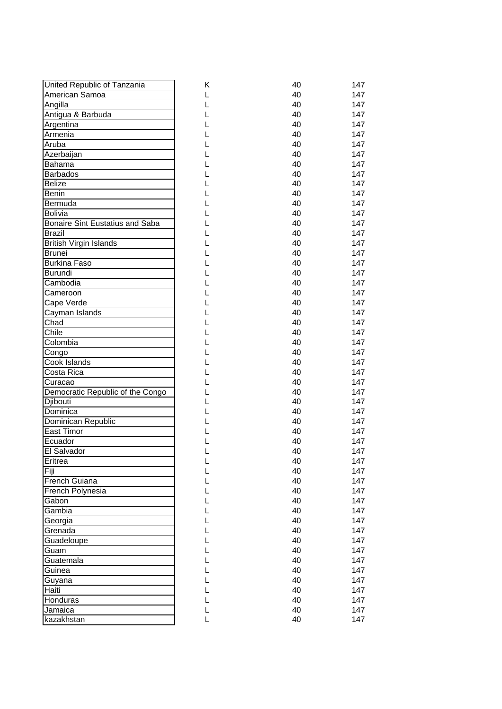| United Republic of Tanzania             | Κ | 40 | 147 |
|-----------------------------------------|---|----|-----|
| American Samoa                          | L | 40 | 147 |
| Angilla                                 | L | 40 | 147 |
| Antigua & Barbuda                       | L | 40 | 147 |
| Argentina                               |   | 40 | 147 |
| Armenia                                 |   | 40 | 147 |
| Aruba                                   |   | 40 | 147 |
| Azerbaijan                              |   | 40 | 147 |
| Bahama                                  |   | 40 | 147 |
| <b>Barbados</b>                         |   | 40 | 147 |
| <b>Belize</b>                           |   | 40 | 147 |
| <b>Benin</b>                            |   | 40 | 147 |
| Bermuda                                 |   | 40 | 147 |
| <b>Bolivia</b>                          |   | 40 | 147 |
| <b>Bonaire Sint Eustatius and Saba</b>  |   | 40 | 147 |
| <b>Brazil</b>                           |   | 40 | 147 |
|                                         | L | 40 | 147 |
| British Virgin Islands<br><b>Brunei</b> | L | 40 | 147 |
| <b>Burkina Faso</b>                     | L | 40 | 147 |
|                                         |   |    |     |
| <b>Burundi</b>                          |   | 40 | 147 |
| Cambodia                                |   | 40 | 147 |
| Cameroon                                |   | 40 | 147 |
| Cape Verde                              |   | 40 | 147 |
| Cayman Islands                          |   | 40 | 147 |
| Chad                                    |   | 40 | 147 |
| Chile                                   |   | 40 | 147 |
| Colombia                                |   | 40 | 147 |
| Congo                                   |   | 40 | 147 |
| Cook Islands                            |   | 40 | 147 |
| Costa Rica                              |   | 40 | 147 |
| Curacao                                 |   | 40 | 147 |
| Democratic Republic of the Congo        |   | 40 | 147 |
| Djibouti                                |   | 40 | 147 |
| Dominica                                |   | 40 | 147 |
| Dominican Republic                      |   | 40 | 147 |
| <b>East Timor</b>                       |   | 40 | 147 |
| Ecuador                                 |   | 40 | 147 |
| El Salvador                             |   | 40 | 147 |
| Eritrea                                 | L | 40 | 147 |
| Fiji                                    | L | 40 | 147 |
| <b>French Guiana</b>                    | L | 40 | 147 |
| French Polynesia                        | Г | 40 | 147 |
| Gabon                                   | L | 40 | 147 |
| Gambia                                  | L | 40 | 147 |
| Georgia                                 | L | 40 | 147 |
| Grenada                                 | L | 40 | 147 |
| Guadeloupe                              | L | 40 | 147 |
| Guam                                    | L | 40 | 147 |
| Guatemala                               | L | 40 | 147 |
| Guinea                                  | L | 40 | 147 |
| Guyana                                  | L | 40 | 147 |
| Haiti                                   |   | 40 | 147 |
| Honduras                                | L | 40 | 147 |
| Jamaica                                 | L | 40 | 147 |
| kazakhstan                              | Г | 40 | 147 |
|                                         |   |    |     |